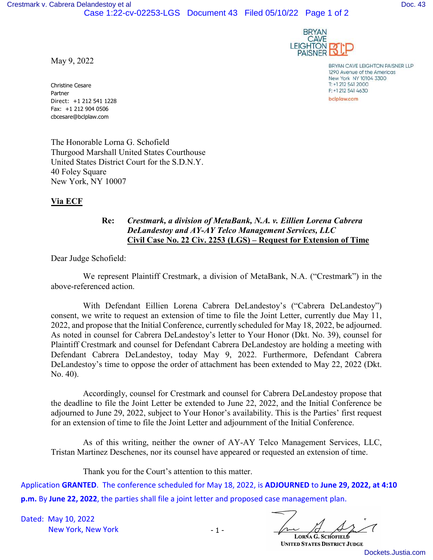



BRYAN CAVE LEIGHTON PAISNER LLP 1290 Avenue of the Americas New York NY 10104 3300 T: +1 212 541 2000 F: +1 212 541 4630 bclplaw.com

May 9, 2022

Christine Cesare Partner Direct: +1 212 541 1228 Fax: +1 212 904 0506 cbcesare@bclplaw.com

The Honorable Lorna G. Schofield Thurgood Marshall United States Courthouse United States District Court for the S.D.N.Y. 40 Foley Square New York, NY 10007

## **Via ECF**

## **Re:** *Crestmark, a division of MetaBank, N.A. v. Eillien Lorena Cabrera DeLandestoy and AY-AY Telco Management Services, LLC*  **Civil Case No. 22 Civ. 2253 (LGS) – Request for Extension of Time**

Dear Judge Schofield:

We represent Plaintiff Crestmark, a division of MetaBank, N.A. ("Crestmark") in the above-referenced action.

With Defendant Eillien Lorena Cabrera DeLandestoy's ("Cabrera DeLandestoy") consent, we write to request an extension of time to file the Joint Letter, currently due May 11, 2022, and propose that the Initial Conference, currently scheduled for May 18, 2022, be adjourned. As noted in counsel for Cabrera DeLandestoy's letter to Your Honor (Dkt. No. 39), counsel for Plaintiff Crestmark and counsel for Defendant Cabrera DeLandestoy are holding a meeting with Defendant Cabrera DeLandestoy, today May 9, 2022. Furthermore, Defendant Cabrera DeLandestoy's time to oppose the order of attachment has been extended to May 22, 2022 (Dkt. No. 40).

Accordingly, counsel for Crestmark and counsel for Cabrera DeLandestoy propose that the deadline to file the Joint Letter be extended to June 22, 2022, and the Initial Conference be adjourned to June 29, 2022, subject to Your Honor's availability. This is the Parties' first request for an extension of time to file the Joint Letter and adjournment of the Initial Conference.

As of this writing, neither the owner of AY-AY Telco Management Services, LLC, Tristan Martinez Deschenes, nor its counsel have appeared or requested an extension of time.

Thank you for the Court's attention to this matter.

Application **GRANTED**. The conference scheduled for May 18, 2022, is **ADJOURNED** to **June 29, 2022, at 4:10 p.m.** By **June 22, 2022**, the parties shall file a joint letter and proposed case management plan.

Dated: May 10, 2022 New York, New York

LORNA G. SCHOFIELD

**UNITED STATES DISTRICT JUDGE** 

[Dockets.Justia.com](https://dockets.justia.com/)